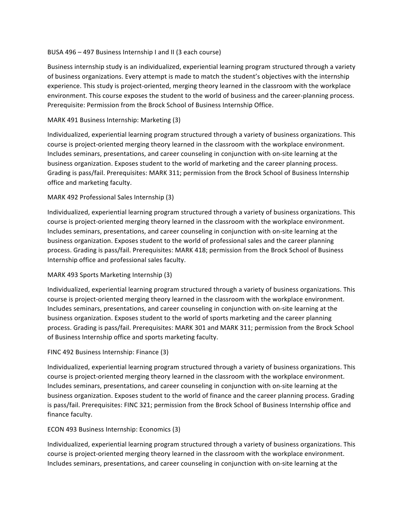## BUSA 496 – 497 Business Internship I and II (3 each course)

Business internship study is an individualized, experiential learning program structured through a variety of business organizations. Every attempt is made to match the student's objectives with the internship experience. This study is project-oriented, merging theory learned in the classroom with the workplace environment. This course exposes the student to the world of business and the career-planning process. Prerequisite: Permission from the Brock School of Business Internship Office.

# MARK 491 Business Internship: Marketing (3)

Individualized, experiential learning program structured through a variety of business organizations. This course is project-oriented merging theory learned in the classroom with the workplace environment. Includes seminars, presentations, and career counseling in conjunction with on-site learning at the business organization. Exposes student to the world of marketing and the career planning process. Grading is pass/fail. Prerequisites: MARK 311; permission from the Brock School of Business Internship office and marketing faculty.

## MARK 492 Professional Sales Internship (3)

Individualized, experiential learning program structured through a variety of business organizations. This course is project-oriented merging theory learned in the classroom with the workplace environment. Includes seminars, presentations, and career counseling in conjunction with on-site learning at the business organization. Exposes student to the world of professional sales and the career planning process. Grading is pass/fail. Prerequisites: MARK 418; permission from the Brock School of Business Internship office and professional sales faculty.

#### MARK 493 Sports Marketing Internship (3)

Individualized, experiential learning program structured through a variety of business organizations. This course is project-oriented merging theory learned in the classroom with the workplace environment. Includes seminars, presentations, and career counseling in conjunction with on-site learning at the business organization. Exposes student to the world of sports marketing and the career planning process. Grading is pass/fail. Prerequisites: MARK 301 and MARK 311; permission from the Brock School of Business Internship office and sports marketing faculty.

#### FINC 492 Business Internship: Finance (3)

Individualized, experiential learning program structured through a variety of business organizations. This course is project-oriented merging theory learned in the classroom with the workplace environment. Includes seminars, presentations, and career counseling in conjunction with on-site learning at the business organization. Exposes student to the world of finance and the career planning process. Grading is pass/fail. Prerequisites: FINC 321; permission from the Brock School of Business Internship office and finance faculty.

#### ECON 493 Business Internship: Economics (3)

Individualized, experiential learning program structured through a variety of business organizations. This course is project-oriented merging theory learned in the classroom with the workplace environment. Includes seminars, presentations, and career counseling in conjunction with on-site learning at the